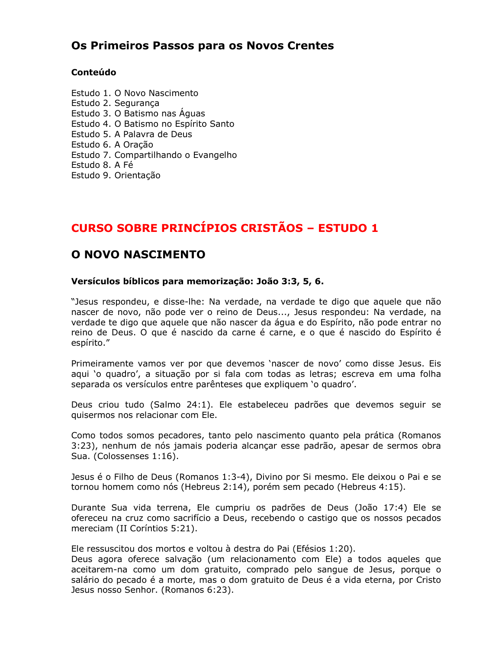### Os Primeiros Passos para os Novos Crentes

#### Conteúdo

Estudo 1. O Novo Nascimento Estudo 2. Segurança Estudo 3. O Batismo nas Águas Estudo 4. O Batismo no Espírito Santo Estudo 5. A Palavra de Deus Estudo 6. A Oração Estudo 7. Compartilhando o Evangelho Estudo 8. A Fé Estudo 9. Orientação

## CURSO SOBRE PRINCÍPIOS CRISTÃOS - ESTUDO 1

### O NOVO NASCIMENTO

#### Versículos bíblicos para memorização: João 3:3, 5, 6.

"Jesus respondeu, e disse-lhe: Na verdade, na verdade te digo que aquele que não nascer de novo, não pode ver o reino de Deus..., Jesus respondeu: Na verdade, na verdade te digo que aquele que não nascer da água e do Espírito, não pode entrar no reino de Deus. O que é nascido da carne é carne, e o que é nascido do Espírito é espírito."

Primeiramente vamos ver por que devemos 'nascer de novo' como disse Jesus. Eis aqui 'o quadro', a situação por si fala com todas as letras; escreva em uma folha separada os versículos entre parênteses que expliquem 'o quadro'.

Deus criou tudo (Salmo 24:1). Ele estabeleceu padrões que devemos seguir se quisermos nos relacionar com Ele.

Como todos somos pecadores, tanto pelo nascimento quanto pela prática (Romanos 3:23), nenhum de nós jamais poderia alcançar esse padrão, apesar de sermos obra Sua. (Colossenses 1:16).

Jesus é o Filho de Deus (Romanos 1:3-4), Divino por Si mesmo. Ele deixou o Pai e se tornou homem como nós (Hebreus 2:14), porém sem pecado (Hebreus 4:15).

Durante Sua vida terrena, Ele cumpriu os padrões de Deus (João 17:4) Ele se ofereceu na cruz como sacrifício a Deus, recebendo o castigo que os nossos pecados mereciam (II Coríntios 5:21).

Ele ressuscitou dos mortos e voltou à destra do Pai (Efésios 1:20).

Deus agora oferece salvação (um relacionamento com Ele) a todos agueles que aceitarem-na como um dom gratuito, comprado pelo sangue de Jesus, porque o salário do pecado é a morte, mas o dom gratuito de Deus é a vida eterna, por Cristo Jesus nosso Senhor. (Romanos 6:23).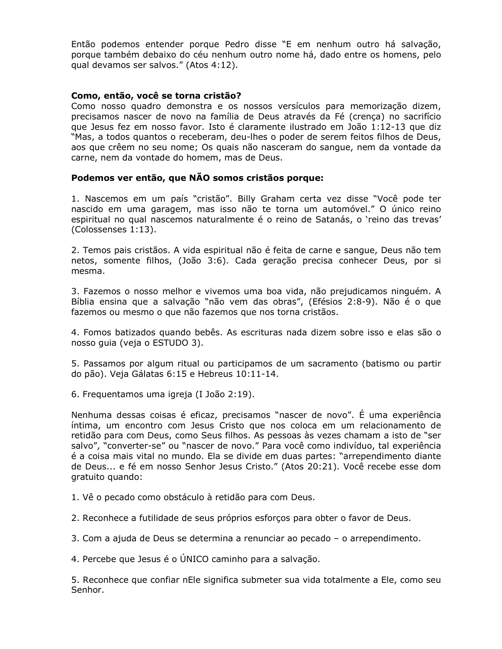Então podemos entender porque Pedro disse "E em nenhum outro há salvação, porque também debaixo do céu nenhum outro nome há, dado entre os homens, pelo qual devamos ser salvos." (Atos 4:12).

#### Como, então, você se torna cristão?

Como nosso quadro demonstra e os nossos versículos para memorização dizem, precisamos nascer de novo na família de Deus através da Fé (crenca) no sacrifício que Jesus fez em nosso favor. Isto é claramente ilustrado em João 1:12-13 que diz "Mas, a todos quantos o receberam, deu-lhes o poder de serem feitos filhos de Deus, aos que crêem no seu nome; Os quais não nasceram do sangue, nem da vontade da carne, nem da vontade do homem, mas de Deus.

#### Podemos ver então, que NÃO somos cristãos porque:

1. Nascemos em um país "cristão". Billy Graham certa vez disse "Você pode ter nascido em uma garagem, mas isso não te torna um automóvel." O único reino espiritual no qual nascemos naturalmente é o reino de Satanás, o 'reino das trevas' (Colossenses 1:13).

2. Temos pais cristãos. A vida espiritual não é feita de carne e sangue, Deus não tem netos, somente filhos, (João 3:6). Cada geração precisa conhecer Deus, por si mesma.

3. Fazemos o nosso melhor e vivemos uma boa vida, não prejudicamos ninguém. A Bíblia ensina que a salvação "não vem das obras", (Efésios 2:8-9). Não é o que fazemos ou mesmo o que não fazemos que nos torna cristãos.

4. Fomos batizados quando bebês. As escrituras nada dizem sobre isso e elas são o nosso quia (veja o ESTUDO 3).

5. Passamos por algum ritual ou participamos de um sacramento (batismo ou partir do pão). Veja Gálatas 6:15 e Hebreus 10:11-14.

6. Frequentamos uma igreja (I João 2:19).

Nenhuma dessas coisas é eficaz, precisamos "nascer de novo". É uma experiência íntima, um encontro com Jesus Cristo que nos coloca em um relacionamento de retidão para com Deus, como Seus filhos. As pessoas às vezes chamam a isto de "ser salvo", "converter-se" ou "nascer de novo." Para você como indivíduo, tal experiência é a coisa mais vital no mundo. Ela se divide em duas partes: "arrependimento diante de Deus... e fé em nosso Senhor Jesus Cristo." (Atos 20:21). Você recebe esse dom gratuito quando:

1. Vê o pecado como obstáculo à retidão para com Deus.

2. Reconhece a futilidade de seus próprios esforços para obter o favor de Deus.

3. Com a ajuda de Deus se determina a renunciar ao pecado – o arrependimento.

4. Percebe que Jesus é o ÚNICO caminho para a salvação.

5. Reconhece que confiar nEle significa submeter sua vida totalmente a Ele, como seu Senhor.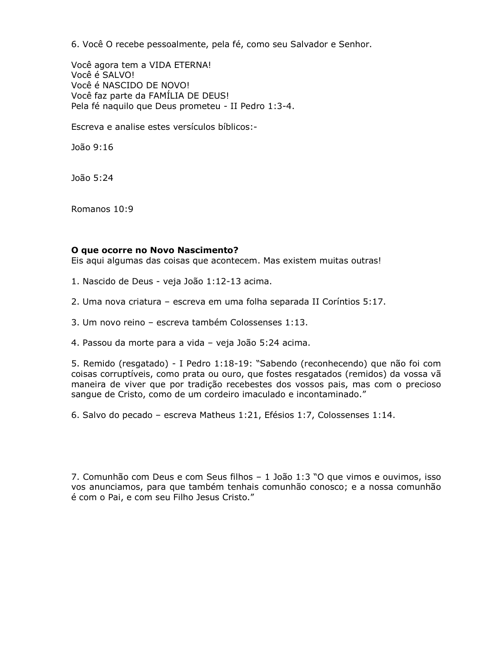6. Você O recebe pessoalmente, pela fé, como seu Salvador e Senhor.

Você agora tem a VIDA ETERNA! Você é SALVO! Você é NASCIDO DE NOVO! Você faz parte da FAMÍLIA DE DEUS! Pela fé naquilo que Deus prometeu - II Pedro 1:3-4.

Escreva e analise estes versículos bíblicos:-

João 9:16

João 5:24

Romanos 10:9

#### O que ocorre no Novo Nascimento?

Eis aqui algumas das coisas que acontecem. Mas existem muitas outras!

1. Nascido de Deus - veja João 1:12-13 acima.

2. Uma nova criatura - escreva em uma folha separada II Coríntios 5:17.

3. Um novo reino - escreva também Colossenses 1:13.

4. Passou da morte para a vida - veja João 5:24 acima.

5. Remido (resgatado) - I Pedro 1:18-19: "Sabendo (reconhecendo) que não foi com coisas corruptíveis, como prata ou ouro, que fostes resgatados (remidos) da vossa vã maneira de viver que por tradição recebestes dos vossos pais, mas com o precioso sanque de Cristo, como de um cordeiro imaculado e incontaminado."

6. Salvo do pecado - escreva Matheus 1:21, Efésios 1:7, Colossenses 1:14.

7. Comunhão com Deus e com Seus filhos - 1 João 1:3 "O que vimos e ouvimos, isso vos anunciamos, para que também tenhais comunhão conosco; e a nossa comunhão é com o Pai, e com seu Filho Jesus Cristo."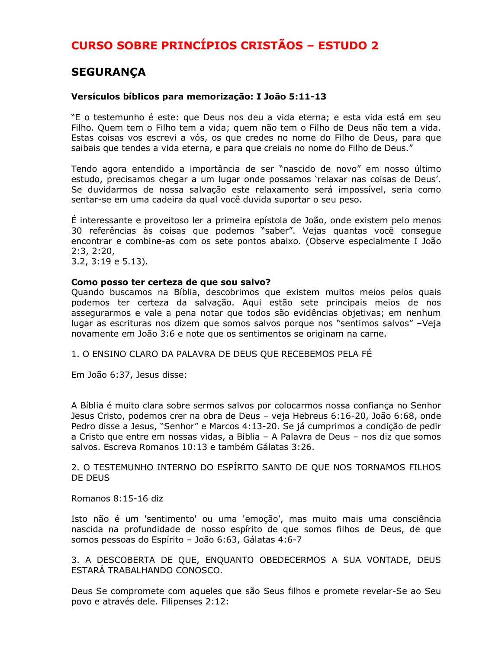### **SEGURANÇA**

#### Versículos bíblicos para memorização: I João 5:11-13

"E o testemunho é este: que Deus nos deu a vida eterna; e esta vida está em seu Filho. Quem tem o Filho tem a vida; quem não tem o Filho de Deus não tem a vida. Estas coisas vos escrevi a vós, os que credes no nome do Filho de Deus, para que saibais que tendes a vida eterna, e para que creiais no nome do Filho de Deus."

Tendo agora entendido a importância de ser "nascido de novo" em nosso último estudo, precisamos chegar a um lugar onde possamos 'relaxar nas coisas de Deus'. Se duvidarmos de nossa salvação este relaxamento será impossível, seria como sentar-se em uma cadeira da qual você duvida suportar o seu peso.

É interessante e proveitoso ler a primeira epístola de João, onde existem pelo menos 30 referências às coisas que podemos "saber". Vejas quantas você conseque encontrar e combine-as com os sete pontos abaixo. (Observe especialmente I João  $2:3, 2:20,$ 

 $3.2, 3:19 \text{ e } 5.13$ ).

#### Como posso ter certeza de que sou salvo?

Quando buscamos na Bíblia, descobrimos que existem muitos meios pelos quais podemos ter certeza da salvação. Aqui estão sete principais meios de nos assegurarmos e vale a pena notar que todos são evidências objetivas; em nenhum lugar as escrituras nos dizem que somos salvos porque nos "sentimos salvos" - Veja novamente em João 3:6 e note que os sentimentos se originam na carne.

1. O ENSINO CLARO DA PALAVRA DE DEUS QUE RECEBEMOS PELA FÉ

Em João 6:37, Jesus disse:

A Bíblia é muito clara sobre sermos salvos por colocarmos nossa confiança no Senhor Jesus Cristo, podemos crer na obra de Deus - veja Hebreus 6:16-20, João 6:68, onde Pedro disse a Jesus, "Senhor" e Marcos 4:13-20. Se já cumprimos a condição de pedir a Cristo que entre em nossas vidas, a Bíblia - A Palavra de Deus - nos diz que somos salvos. Escreva Romanos 10:13 e também Gálatas 3:26.

2. O TESTEMUNHO INTERNO DO ESPÍRITO SANTO DE QUE NOS TORNAMOS FILHOS DE DEUS

Romanos 8:15-16 diz

Isto não é um 'sentimento' ou uma 'emoção', mas muito mais uma consciência nascida na profundidade de nosso espírito de que somos filhos de Deus, de que somos pessoas do Espírito - João 6:63, Gálatas 4:6-7

3. A DESCOBERTA DE OUE, ENOUANTO OBEDECERMOS A SUA VONTADE, DEUS ESTARÁ TRABALHANDO CONOSCO.

Deus Se compromete com aqueles que são Seus filhos e promete revelar-Se ao Seu povo e através dele. Filipenses 2:12: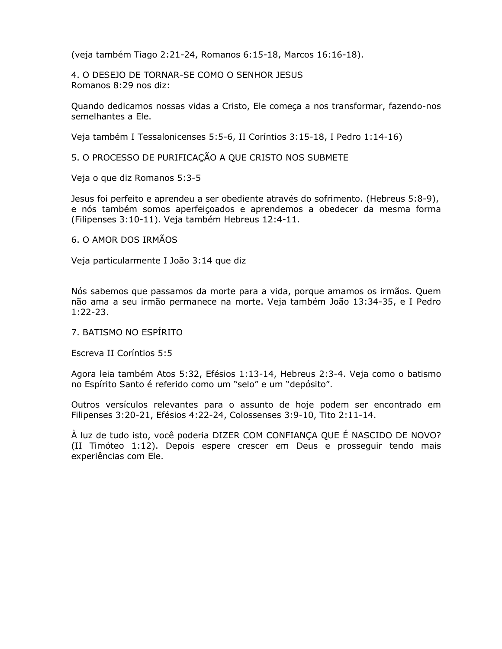(veja também Tiago 2:21-24, Romanos 6:15-18, Marcos 16:16-18).

4. O DESEJO DE TORNAR-SE COMO O SENHOR JESUS Romanos 8:29 nos diz:

Quando dedicamos nossas vidas a Cristo, Ele começa a nos transformar, fazendo-nos semelhantes a Ele.

Veja também I Tessalonicenses 5:5-6, II Coríntios 3:15-18, I Pedro 1:14-16)

5. O PROCESSO DE PURIFICAÇÃO A QUE CRISTO NOS SUBMETE

Veja o que diz Romanos 5:3-5

Jesus foi perfeito e aprendeu a ser obediente através do sofrimento. (Hebreus 5:8-9), e nós também somos aperfeiçoados e aprendemos a obedecer da mesma forma (Filipenses 3:10-11). Veja também Hebreus 12:4-11.

#### 6. O AMOR DOS IRMÃOS

Veja particularmente I João 3:14 que diz

Nós sabemos que passamos da morte para a vida, porque amamos os irmãos. Quem não ama a seu irmão permanece na morte. Veja também João 13:34-35, e I Pedro  $1:22-23.$ 

#### 7. BATISMO NO ESPÍRITO

Escreva II Coríntios 5:5

Agora leia também Atos 5:32, Efésios 1:13-14, Hebreus 2:3-4. Veja como o batismo no Espírito Santo é referido como um "selo" e um "depósito".

Outros versículos relevantes para o assunto de hoje podem ser encontrado em Filipenses 3:20-21, Efésios 4:22-24, Colossenses 3:9-10, Tito 2:11-14.

À luz de tudo isto, você poderia DIZER COM CONFIANÇA QUE É NASCIDO DE NOVO? (II Timóteo 1:12). Depois espere crescer em Deus e prosseguir tendo mais experiências com Ele.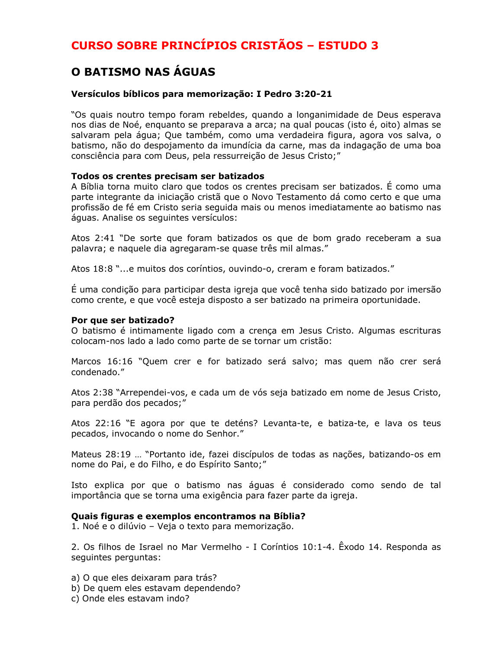### O BATISMO NAS ÁGUAS

#### Versículos bíblicos para memorização: I Pedro 3:20-21

"Os quais noutro tempo foram rebeldes, quando a longanimidade de Deus esperava nos dias de Noé, enquanto se preparava a arca; na qual poucas (isto é, oito) almas se salvaram pela água; Que também, como uma verdadeira figura, agora vos salva, o batismo, não do despojamento da imundícia da carne, mas da indagação de uma boa consciência para com Deus, pela ressurreição de Jesus Cristo;"

#### Todos os crentes precisam ser batizados

A Bíblia torna muito claro que todos os crentes precisam ser batizados. É como uma parte integrante da iniciação cristã que o Novo Testamento dá como certo e que uma profissão de fé em Cristo seria seguida mais ou menos imediatamente ao batismo nas áquas. Analise os sequintes versículos:

Atos 2:41 "De sorte que foram batizados os que de bom grado receberam a sua palavra; e naquele dia agregaram-se quase três mil almas."

Atos 18:8 "...e muitos dos coríntios, ouvindo-o, creram e foram batizados."

É uma condição para participar desta igreja que você tenha sido batizado por imersão como crente, e que você esteja disposto a ser batizado na primeira oportunidade.

#### Por que ser batizado?

O batismo é intimamente ligado com a crença em Jesus Cristo. Algumas escrituras colocam-nos lado a lado como parte de se tornar um cristão:

Marcos 16:16 "Quem crer e for batizado será salvo; mas quem não crer será condenado."

Atos 2:38 "Arrependei-vos, e cada um de vós seja batizado em nome de Jesus Cristo, para perdão dos pecados;"

Atos 22:16 "E agora por que te deténs? Levanta-te, e batiza-te, e lava os teus pecados, invocando o nome do Senhor."

Mateus 28:19 ... "Portanto ide, fazei discípulos de todas as nações, batizando-os em nome do Pai, e do Filho, e do Espírito Santo;"

Isto explica por que o batismo nas águas é considerado como sendo de tal importância que se torna uma exigência para fazer parte da igreja.

#### Quais figuras e exemplos encontramos na Bíblia?

1. Noé e o dilúvio - Veja o texto para memorização.

2. Os filhos de Israel no Mar Vermelho - I Coríntios 10:1-4. Êxodo 14. Responda as sequintes perquntas:

a) O que eles deixaram para trás?

- b) De quem eles estavam dependendo?
- c) Onde eles estavam indo?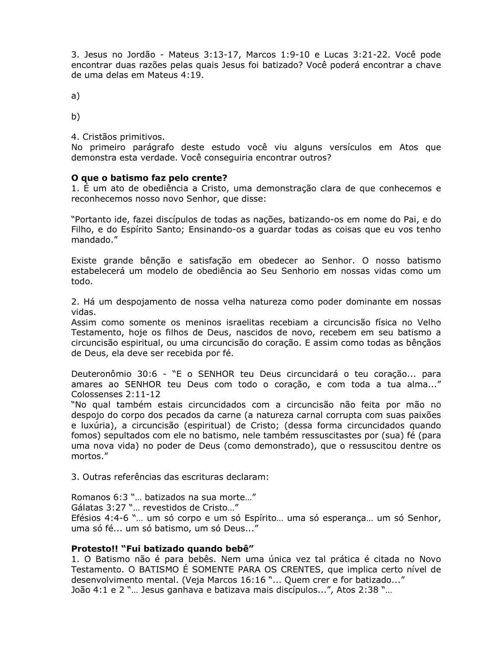3. Jesus no Jordão - Mateus 3:13-17, Marcos 1:9-10 e Lucas 3:21-22. Você pode encontrar duas razões pelas quais Jesus foi batizado? Você poderá encontrar a chave de uma delas em Mateus 4:19.

 $a)$ 

 $b)$ 

#### 4. Cristãos primitivos.

No primeiro parágrafo deste estudo você viu alguns versículos em Atos que demonstra esta verdade. Você conseguiria encontrar outros?

#### O que o batismo faz pelo crente?

1. É um ato de obediência a Cristo, uma demonstração clara de que conhecemos e reconhecemos nosso novo Senhor, que disse:

"Portanto ide, fazei discípulos de todas as nações, batizando-os em nome do Pai, e do Filho, e do Espírito Santo; Ensinando-os a guardar todas as coisas que eu vos tenho mandado."

Existe grande bênção e satisfação em obedecer ao Senhor. O nosso batismo estabelecerá um modelo de obediência ao Seu Senhorio em nossas vidas como um todo.

2. Há um despojamento de nossa velha natureza como poder dominante em nossas vidas.

Assim como somente os meninos israelitas recebiam a circuncisão física no Velho Testamento, hoje os filhos de Deus, nascidos de novo, recebem em seu batismo a circuncisão espiritual, ou uma circuncisão do coração. E assim como todas as bênçãos de Deus, ela deve ser recebida por fé.

Deuteronômio 30:6 - "E o SENHOR teu Deus circuncidará o teu coração... para amares ao SENHOR teu Deus com todo o coração, e com toda a tua alma..." Colossenses 2:11-12

"No qual também estais circuncidados com a circuncisão não feita por mão no despojo do corpo dos pecados da carne (a natureza carnal corrupta com suas paixões e luxúria), a circuncisão (espiritual) de Cristo; (dessa forma circuncidados quando fomos) sepultados com ele no batismo, nele também ressuscitastes por (sua) fé (para uma nova vida) no poder de Deus (como demonstrado), que o ressuscitou dentre os mortos."

3. Outras referências das escrituras declaram:

Romanos 6:3 "... batizados na sua morte..."

Gálatas 3:27 "... revestidos de Cristo..."

Efésios 4:4-6 "... um só corpo e um só Espírito... uma só esperança... um só Senhor, uma só fé... um só batismo, um só Deus..."

#### Protesto!! "Fui batizado quando bebê"

1. O Batismo não é para bebês. Nem uma única vez tal prática é citada no Novo Testamento. O BATISMO É SOMENTE PARA OS CRENTES, que implica certo nível de desenvolvimento mental. (Veja Marcos 16:16 "... Quem crer e for batizado..." João 4:1 e 2 "... Jesus ganhava e batizava mais discípulos...", Atos 2:38 "...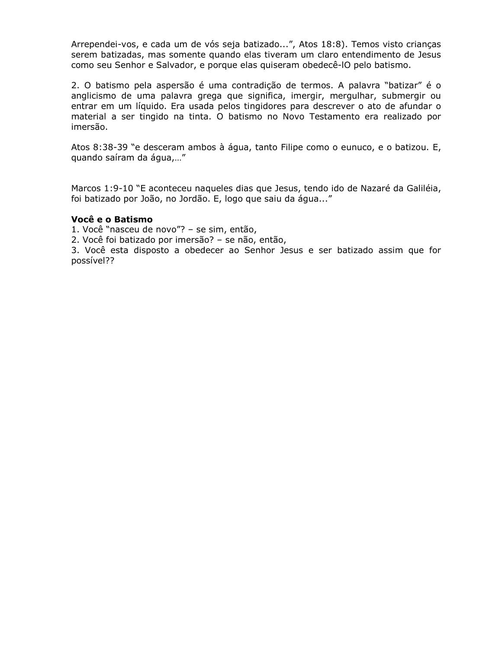Arrependei-vos, e cada um de vós seja batizado...", Atos 18:8). Temos visto crianças serem batizadas, mas somente quando elas tiveram um claro entendimento de Jesus como seu Senhor e Salvador, e porque elas quiseram obedecê-IO pelo batismo.

2. O batismo pela aspersão é uma contradição de termos. A palavra "batizar" é o anglicismo de uma palavra grega que significa, imergir, mergulhar, submergir ou entrar em um líquido. Era usada pelos tingidores para descrever o ato de afundar o material a ser tingido na tinta. O batismo no Novo Testamento era realizado por imersão.

Atos 8:38-39 "e desceram ambos à água, tanto Filipe como o eunuco, e o batizou. E, quando saíram da água,..."

Marcos 1:9-10 "E aconteceu naqueles dias que Jesus, tendo ido de Nazaré da Galiléia, foi batizado por João, no Jordão. E, logo que saiu da água..."

#### Você e o Batismo

1. Você "nasceu de novo"? - se sim, então,

2. Você foi batizado por imersão? - se não, então,

3. Você esta disposto a obedecer ao Senhor Jesus e ser batizado assim que for possível??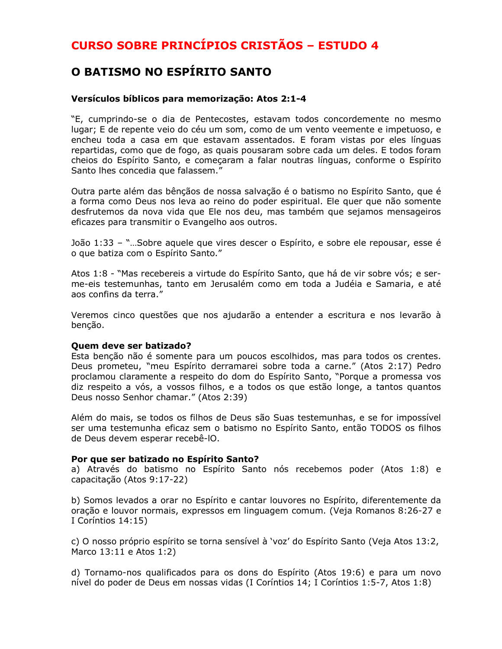### O BATISMO NO ESPÍRITO SANTO

#### Versículos bíblicos para memorização: Atos 2:1-4

"E, cumprindo-se o dia de Pentecostes, estavam todos concordemente no mesmo lugar: E de repente veio do céu um som, como de um vento veemente e impetuoso, e encheu toda a casa em que estavam assentados. E foram vistas por eles línguas repartidas, como que de fogo, as quais pousaram sobre cada um deles. E todos foram cheios do Espírito Santo, e começaram a falar noutras línguas, conforme o Espírito Santo lhes concedia que falassem."

Outra parte além das bêncãos de nossa salvação é o batismo no Espírito Santo, que é a forma como Deus nos leva ao reino do poder espiritual. Ele quer que não somente desfrutemos da nova vida que Ele nos deu, mas também que sejamos mensageiros eficazes para transmitir o Evangelho aos outros.

João 1:33 - "...Sobre aquele que vires descer o Espírito, e sobre ele repousar, esse é o que batiza com o Espírito Santo."

Atos 1:8 - "Mas recebereis a virtude do Espírito Santo, que há de vir sobre vós; e serme-eis testemunhas, tanto em Jerusalém como em toda a Judéia e Samaria, e até aos confins da terra."

Veremos cinco questões que nos ajudarão a entender a escritura e nos levarão à benção.

#### **Quem deve ser batizado?**

Esta benção não é somente para um poucos escolhidos, mas para todos os crentes. Deus prometeu, "meu Espírito derramarei sobre toda a carne." (Atos 2:17) Pedro proclamou claramente a respeito do dom do Espírito Santo, "Porque a promessa vos diz respeito a vós, a vossos filhos, e a todos os que estão longe, a tantos quantos Deus nosso Senhor chamar." (Atos 2:39)

Além do mais, se todos os filhos de Deus são Suas testemunhas, e se for impossível ser uma testemunha eficaz sem o batismo no Espírito Santo, então TODOS os filhos de Deus devem esperar recebê-IO.

#### Por que ser batizado no Espírito Santo?

a) Através do batismo no Espírito Santo nós recebemos poder (Atos 1:8) e capacitação (Atos 9:17-22)

b) Somos levados a orar no Espírito e cantar louvores no Espírito, diferentemente da oração e louvor normais, expressos em linguagem comum. (Veja Romanos 8:26-27 e I Coríntios 14:15)

c) O nosso próprio espírito se torna sensível à 'voz' do Espírito Santo (Veja Atos 13:2, Marco 13:11 e Atos 1:2)

d) Tornamo-nos qualificados para os dons do Espírito (Atos 19:6) e para um novo nível do poder de Deus em nossas vidas (I Coríntios 14; I Coríntios 1:5-7, Atos 1:8)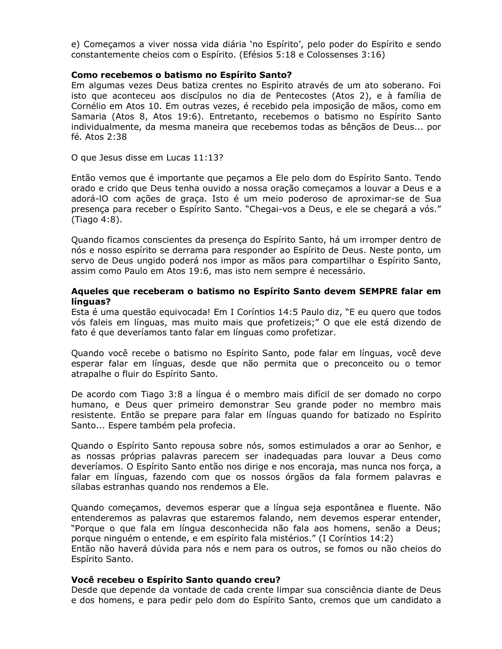e) Começamos a viver nossa vida diária `no Espírito', pelo poder do Espírito e sendo constantemente cheios com o Espírito. (Efésios 5:18 e Colossenses 3:16)

#### Como recebemos o batismo no Espírito Santo?

Em algumas vezes Deus batiza crentes no Espírito através de um ato soberano. Foi isto que aconteceu aos discípulos no dia de Pentecostes (Atos 2), e à família de Cornélio em Atos 10. Em outras vezes, é recebido pela imposição de mãos, como em Samaria (Atos 8, Atos 19:6). Entretanto, recebemos o batismo no Espírito Santo individualmente, da mesma maneira que recebemos todas as bênçãos de Deus... por fé. Atos 2:38

O que Jesus disse em Lucas 11:13?

Então vemos que é importante que peçamos a Ele pelo dom do Espírito Santo. Tendo orado e crido que Deus tenha ouvido a nossa oração começamos a louvar a Deus e a adorá-IO com ações de graça. Isto é um meio poderoso de aproximar-se de Sua presença para receber o Espírito Santo. "Chegai-vos a Deus, e ele se chegará a vós." (Tiago 4:8).

Quando ficamos conscientes da presenca do Espírito Santo, há um irromper dentro de nós e nosso espírito se derrama para responder ao Espírito de Deus. Neste ponto, um servo de Deus ungido poderá nos impor as mãos para compartilhar o Espírito Santo, assim como Paulo em Atos 19:6, mas isto nem sempre é necessário.

#### Aqueles que receberam o batismo no Espírito Santo devem SEMPRE falar em línguas?

Esta é uma questão equivocada! Em I Coríntios 14:5 Paulo diz, "E eu quero que todos vós faleis em línguas, mas muito mais que profetizeis;" O que ele está dizendo de fato é que deveríamos tanto falar em línguas como profetizar.

Quando você recebe o batismo no Espírito Santo, pode falar em línguas, você deve esperar falar em línguas, desde que não permita que o preconceito ou o temor atrapalhe o fluir do Espírito Santo.

De acordo com Tiago 3:8 a língua é o membro mais difícil de ser domado no corpo humano, e Deus quer primeiro demonstrar Seu grande poder no membro mais resistente. Então se prepare para falar em línguas quando for batizado no Espírito Santo... Espere também pela profecia.

Quando o Espírito Santo repousa sobre nós, somos estimulados a orar ao Senhor, e as nossas próprias palavras parecem ser inadeguadas para louvar a Deus como deveríamos. O Espírito Santo então nos dirige e nos encoraja, mas nunca nos força, a falar em línguas, fazendo com que os nossos órgãos da fala formem palavras e sílabas estranhas quando nos rendemos a Ele.

Quando começamos, devemos esperar que a língua seja espontânea e fluente. Não entenderemos as palavras que estaremos falando, nem devemos esperar entender, "Porque o que fala em língua desconhecida não fala aos homens, senão a Deus; porque ninguém o entende, e em espírito fala mistérios." (I Coríntios 14:2)

Então não haverá dúvida para nós e nem para os outros, se fomos ou não cheios do Espírito Santo.

#### Você recebeu o Espírito Santo quando creu?

Desde que depende da vontade de cada crente limpar sua consciência diante de Deus e dos homens, e para pedir pelo dom do Espírito Santo, cremos que um candidato a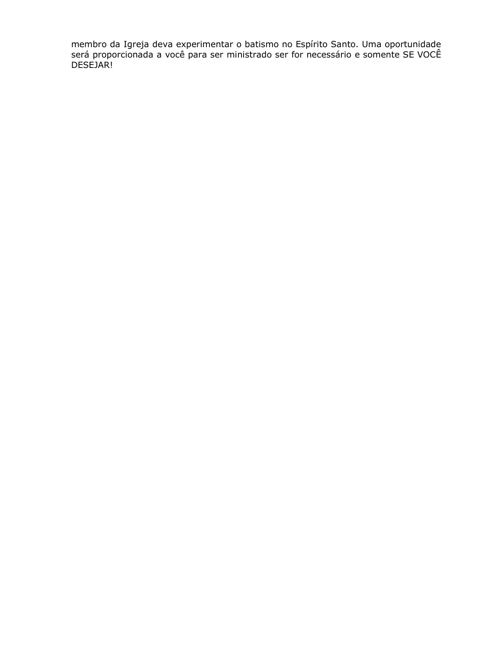membro da Igreja deva experimentar o batismo no Espírito Santo. Uma oportunidade<br>será proporcionada a você para ser ministrado ser for necessário e somente SE VOCÊ DESEJAR!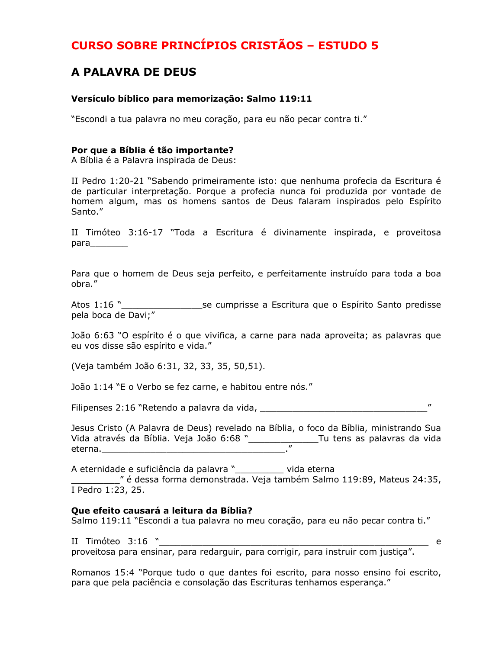### **A PALAVRA DE DEUS**

#### Versículo bíblico para memorização: Salmo 119:11

"Escondi a tua palavra no meu coração, para eu não pecar contra ti."

#### Por que a Bíblia é tão importante?

A Bíblia é a Palavra inspirada de Deus:

II Pedro 1:20-21 "Sabendo primeiramente isto: que nenhuma profecia da Escritura é de particular interpretação. Porque a profecia nunca foi produzida por vontade de homem algum, mas os homens santos de Deus falaram inspirados pelo Espírito Santo."

II Timóteo 3:16-17 "Toda a Escritura é divinamente inspirada, e proveitosa 

Para que o homem de Deus seja perfeito, e perfeitamente instruído para toda a boa obra."

\_\_\_\_\_\_\_\_\_\_\_\_\_se cumprisse a Escritura que o Espírito Santo predisse Atos 1:16 " pela boca de Davi;"

João 6:63 "O espírito é o que vivifica, a carne para nada aproveita; as palavras que eu vos disse são espírito e vida."

(Veja também João 6:31, 32, 33, 35, 50, 51).

João 1:14 "E o Verbo se fez carne, e habitou entre nós."

Jesus Cristo (A Palavra de Deus) revelado na Bíblia, o foco da Bíblia, ministrando Sua eterna.

A eternidade e suficiência da palavra "\_\_\_\_\_\_\_\_ vida eterna

" é dessa forma demonstrada. Veja também Salmo 119:89, Mateus 24:35, I Pedro 1:23, 25.

#### Que efeito causará a leitura da Bíblia?

Salmo 119:11 "Escondi a tua palavra no meu coração, para eu não pecar contra ti."

II Timóteo 3:16 " \_\_ e proveitosa para ensinar, para redarguir, para corrigir, para instruir com justiça".

Romanos 15:4 "Porque tudo o que dantes foi escrito, para nosso ensino foi escrito, para que pela paciência e consolação das Escrituras tenhamos esperança."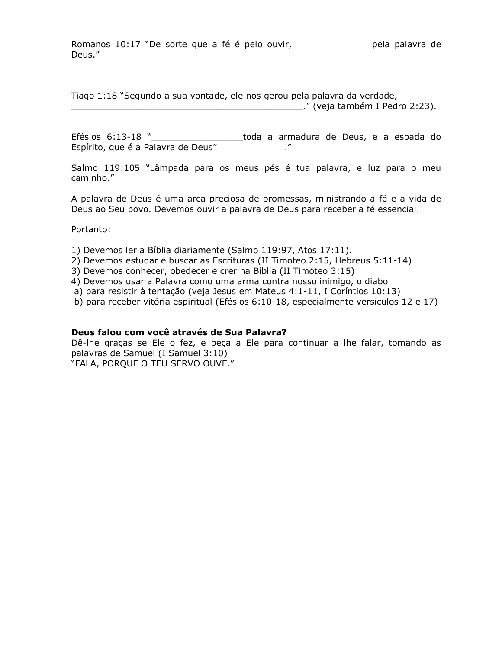Romanos 10:17 "De sorte que a fé é pelo ouvir, \_\_\_\_\_\_\_\_\_\_\_\_\_\_\_\_\_\_\_\_\_\_pela palavra de Deus."

Tiago 1:18 "Segundo a sua vontade, ele nos gerou pela palavra da verdade,

ETESIOS 6:13-18 "<br>Espírito, que é a Palavra de Deus" \_\_\_\_\_\_\_\_\_\_\_\_\_\_."<br>Espírito, que é a Palavra de Deus" \_\_\_\_\_\_\_\_\_\_\_\_\_\_."

Salmo 119:105 "Lâmpada para os meus pés é tua palavra, e luz para o meu caminho."

A palavra de Deus é uma arca preciosa de promessas, ministrando a fé e a vida de Deus ao Seu povo. Devemos ouvir a palavra de Deus para receber a fé essencial.

Portanto:

- 1) Devemos ler a Bíblia diariamente (Salmo 119:97, Atos 17:11).
- 2) Devemos estudar e buscar as Escrituras (II Timóteo 2:15, Hebreus 5:11-14)
- 3) Devemos conhecer, obedecer e crer na Bíblia (II Timóteo 3:15)
- 4) Devemos usar a Palavra como uma arma contra nosso inimigo, o diabo
- a) para resistir à tentação (veja Jesus em Mateus 4:1-11, I Coríntios 10:13)
- b) para receber vitória espiritual (Efésios 6:10-18, especialmente versículos 12 e 17)

#### Deus falou com você através de Sua Palavra?

Dê-lhe graças se Ele o fez, e peça a Ele para continuar a lhe falar, tomando as palavras de Samuel (I Samuel 3:10)

"FALA, PORQUE O TEU SERVO OUVE."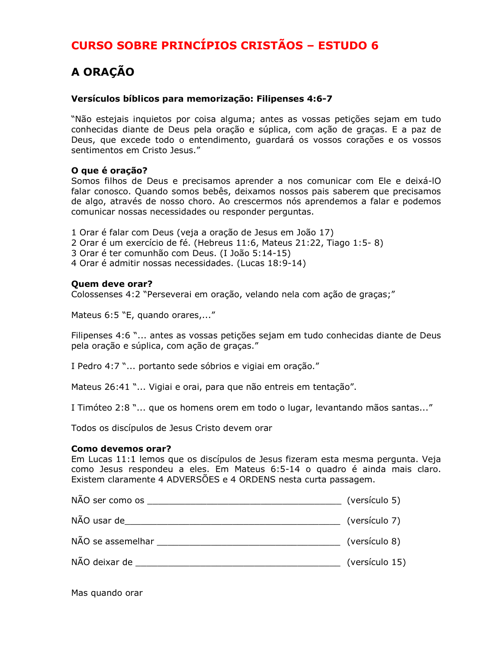## A ORAÇÃO

#### Versículos bíblicos para memorização: Filipenses 4:6-7

"Não estejais inguietos por coisa alguma; antes as vossas petições sejam em tudo conhecidas diante de Deus pela oração e súplica, com ação de graças. E a paz de Deus, que excede todo o entendimento, guardará os vossos corações e os vossos sentimentos em Cristo Jesus."

#### O que é oração?

Somos filhos de Deus e precisamos aprender a nos comunicar com Ele e deixá-IO falar conosco. Quando somos bebês, deixamos nossos pais saberem que precisamos de algo, através de nosso choro. Ao crescermos nós aprendemos a falar e podemos comunicar nossas necessidades ou responder perguntas.

- 1 Orar é falar com Deus (veja a oração de Jesus em João 17)
- 2 Orar é um exercício de fé. (Hebreus 11:6, Mateus 21:22, Tiago 1:5-8)
- 3 Orar é ter comunhão com Deus. (I João 5:14-15)
- 4 Orar é admitir nossas necessidades. (Lucas 18:9-14)

#### Quem deve orar?

Colossenses 4:2 "Perseverai em oração, velando nela com ação de graças;"

Mateus 6:5 "E, quando orares,..."

Filipenses 4:6 "... antes as vossas petições sejam em tudo conhecidas diante de Deus pela oração e súplica, com ação de graças."

I Pedro 4:7 "... portanto sede sóbrios e vigiai em oração."

Mateus 26:41 "... Vigiai e orai, para que não entreis em tentação".

I Timóteo 2:8 "... que os homens orem em todo o lugar, levantando mãos santas..."

Todos os discípulos de Jesus Cristo devem orar

#### Como devemos orar?

Em Lucas 11:1 lemos que os discípulos de Jesus fizeram esta mesma pergunta. Veja como Jesus respondeu a eles. Em Mateus 6:5-14 o quadro é ainda mais claro. Existem claramente 4 ADVERSÕES e 4 ORDENS nesta curta passagem.

| (versículo 5)  |
|----------------|
| (versículo 7)  |
| (versículo 8)  |
| (versículo 15) |
|                |

Mas quando orar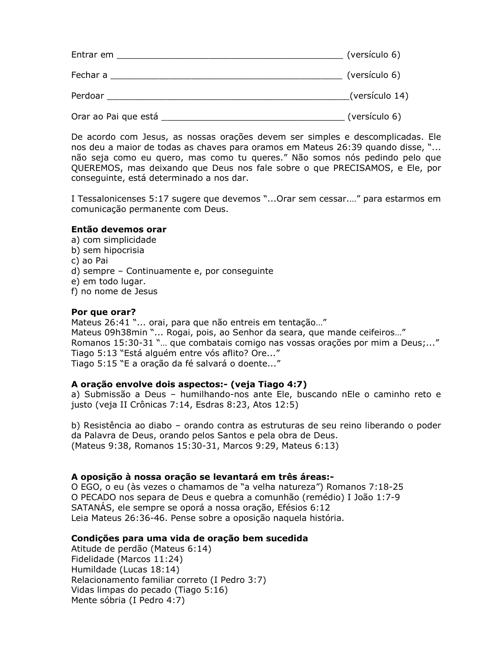| Entrar em            | (versículo 6)  |
|----------------------|----------------|
| Fechar a             | (versículo 6)  |
| Perdoar              | (versículo 14) |
| Orar ao Pai que está | (versículo 6)  |

De acordo com Jesus, as nossas orações devem ser simples e descomplicadas. Ele nos deu a maior de todas as chaves para oramos em Mateus 26:39 quando disse, "... não seja como eu quero, mas como tu queres." Não somos nós pedindo pelo que QUEREMOS, mas deixando que Deus nos fale sobre o que PRECISAMOS, e Ele, por conseguinte, está determinado a nos dar.

I Tessalonicenses 5:17 sugere que devemos "... Orar sem cessar...." para estarmos em comunicação permanente com Deus.

#### Então devemos orar

- a) com simplicidade
- b) sem hipocrisia
- c) ao Pai
- d) sempre Continuamente e, por consequinte
- e) em todo lugar.
- f) no nome de Jesus

#### Por que orar?

Mateus 26:41 "... orai, para que não entreis em tentação..." Mateus 09h38min "... Rogai, pois, ao Senhor da seara, que mande ceifeiros..." Romanos 15:30-31 "... que combatais comigo nas vossas orações por mim a Deus;..." Tiago 5:13 "Está alguém entre vós aflito? Ore..." Tiago 5:15 "E a oração da fé salvará o doente..."

#### A oração envolve dois aspectos:- (veja Tiago 4:7)

a) Submissão a Deus - humilhando-nos ante Ele, buscando nEle o caminho reto e justo (veja II Crônicas 7:14, Esdras 8:23, Atos 12:5)

b) Resistência ao diabo – orando contra as estruturas de seu reino liberando o poder da Palavra de Deus, orando pelos Santos e pela obra de Deus. (Mateus 9:38, Romanos 15:30-31, Marcos 9:29, Mateus 6:13)

#### A oposição à nossa oração se levantará em três áreas:-

O EGO, o eu (às vezes o chamamos de "a velha natureza") Romanos 7:18-25 O PECADO nos separa de Deus e quebra a comunhão (remédio) I João 1:7-9 SATANAS, ele sempre se oporá a nossa oração, Efésios 6:12 Leia Mateus 26:36-46. Pense sobre a oposição naquela história.

#### Condições para uma vida de oração bem sucedida

Atitude de perdão (Mateus 6:14) Fidelidade (Marcos 11:24) Humildade (Lucas 18:14) Relacionamento familiar correto (I Pedro 3:7) Vidas limpas do pecado (Tiago 5:16) Mente sóbria (I Pedro 4:7)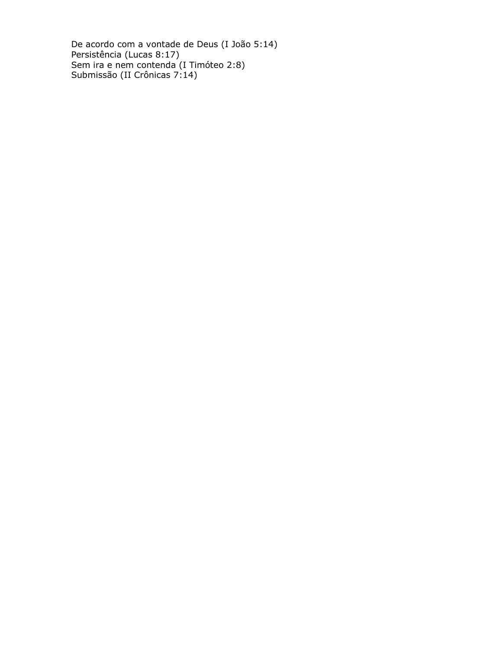De acordo com a vontade de Deus (I João 5:14)<br>Persistência (Lucas 8:17)<br>Sem ira e nem contenda (I Timóteo 2:8)<br>Submissão (II Crônicas 7:14)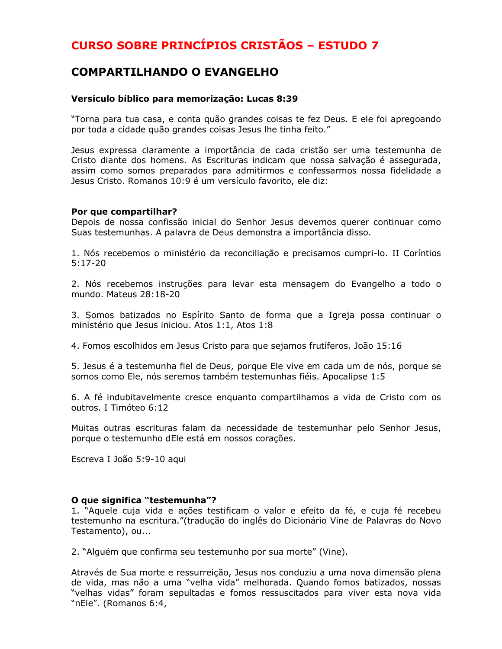### **COMPARTILHANDO O EVANGELHO**

#### Versículo bíblico para memorização: Lucas 8:39

"Torna para tua casa, e conta quão grandes coisas te fez Deus. E ele foi apregoando por toda a cidade quão grandes coisas Jesus lhe tinha feito."

Jesus expressa claramente a importância de cada cristão ser uma testemunha de Cristo diante dos homens. As Escrituras indicam que nossa salvação é assegurada, assim como somos preparados para admitirmos e confessarmos nossa fidelidade a Jesus Cristo. Romanos 10:9 é um versículo favorito, ele diz:

#### Por que compartilhar?

Depois de nossa confissão inicial do Senhor Jesus devemos querer continuar como Suas testemunhas. A palavra de Deus demonstra a importância disso.

1. Nós recebemos o ministério da reconciliação e precisamos cumpri-lo. II Coríntios  $5:17-20$ 

2. Nós recebemos instruções para levar esta mensagem do Evangelho a todo o mundo. Mateus 28:18-20

3. Somos batizados no Espírito Santo de forma que a Igreja possa continuar o ministério que Jesus iniciou. Atos 1:1, Atos 1:8

4. Fomos escolhidos em Jesus Cristo para que sejamos frutíferos. João 15:16

5. Jesus é a testemunha fiel de Deus, porque Ele vive em cada um de nós, porque se somos como Ele, nós seremos também testemunhas fiéis. Apocalipse 1:5

6. A fé indubitavelmente cresce enguanto compartilhamos a vida de Cristo com os outros. I Timóteo 6:12

Muitas outras escrituras falam da necessidade de testemunhar pelo Senhor Jesus, porque o testemunho dEle está em nossos corações.

Escreva I João 5:9-10 aqui

#### O que significa "testemunha"?

1. "Aquele cuja vida e ações testificam o valor e efeito da fé, e cuja fé recebeu testemunho na escritura."(tradução do inglês do Dicionário Vine de Palavras do Novo Testamento), ou...

2. "Alguém que confirma seu testemunho por sua morte" (Vine).

Através de Sua morte e ressurreição, Jesus nos conduziu a uma nova dimensão plena de vida, mas não a uma "velha vida" melhorada. Quando fomos batizados, nossas "velhas vidas" foram sepultadas e fomos ressuscitados para viver esta nova vida "nEle". (Romanos 6:4,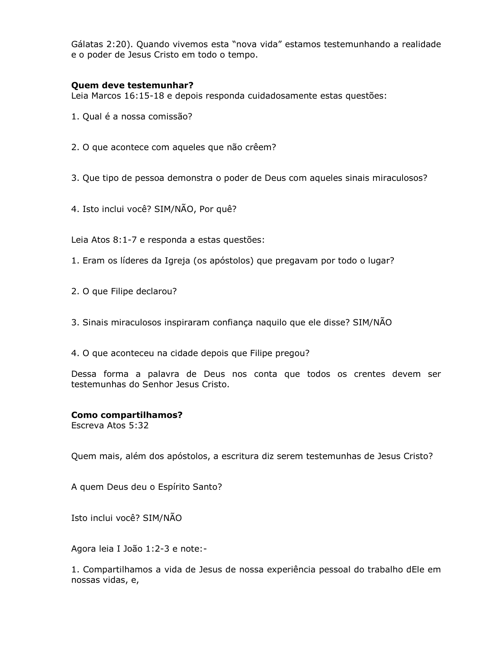Gálatas 2:20). Quando vivemos esta "nova vida" estamos testemunhando a realidade e o poder de Jesus Cristo em todo o tempo.

#### Quem deve testemunhar?

Leia Marcos 16:15-18 e depois responda cuidadosamente estas questões:

- 1. Qual é a nossa comissão?
- 2. O que acontece com aqueles que não crêem?

3. Que tipo de pessoa demonstra o poder de Deus com aqueles sinais miraculosos?

4. Isto inclui você? SIM/NÃO, Por quê?

Leia Atos 8:1-7 e responda a estas questões:

- 1. Eram os líderes da Igreja (os apóstolos) que pregavam por todo o lugar?
- 2. O que Filipe declarou?
- 3. Sinais miraculosos inspiraram confiança naquilo que ele disse? SIM/NAO
- 4. O que aconteceu na cidade depois que Filipe pregou?

Dessa forma a palavra de Deus nos conta que todos os crentes devem ser testemunhas do Senhor Jesus Cristo.

#### **Como compartilhamos?**

Escreva Atos 5:32

Quem mais, além dos apóstolos, a escritura diz serem testemunhas de Jesus Cristo?

A quem Deus deu o Espírito Santo?

Isto inclui você? SIM/NÃO

Agora leia I João 1:2-3 e note:-

1. Compartilhamos a vida de Jesus de nossa experiência pessoal do trabalho dEle em nossas vidas, e,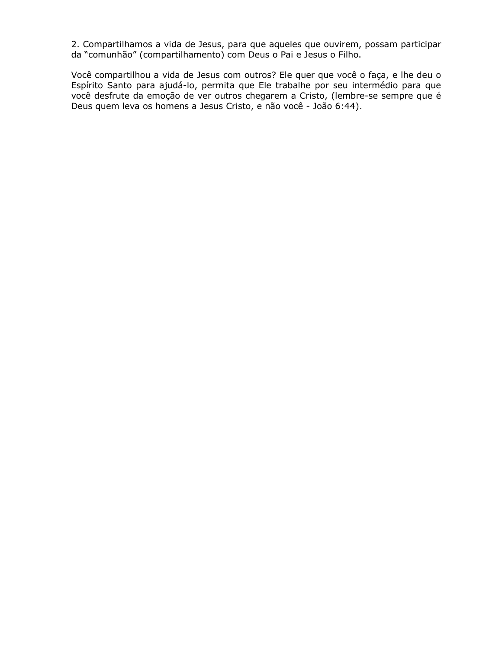2. Compartilhamos a vida de Jesus, para que aqueles que ouvirem, possam participar da "comunhão" (compartilhamento) com Deus o Pai e Jesus o Filho.

Você compartilhou a vida de Jesus com outros? Ele quer que você o faça, e lhe deu o Espírito Santo para ajudá-lo, permita que Ele trabalhe por seu intermédio para que você desfrute da emoção de ver outros chegarem a Cristo, (lembre-se sempre que é Deus quem leva os homens a Jesus Cristo, e não você - João 6:44).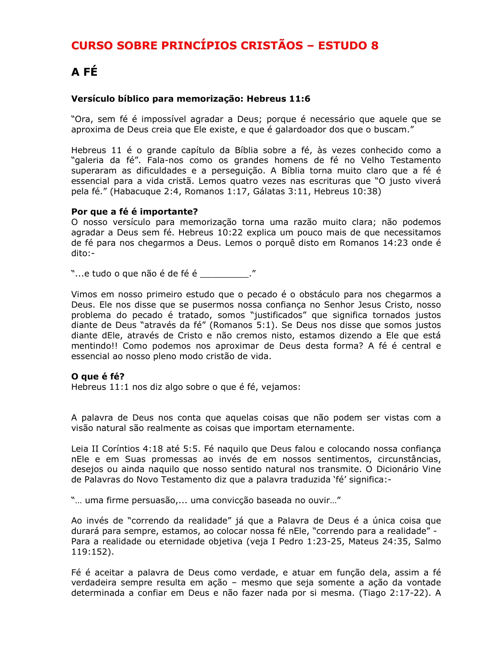# A FÉ

#### Versículo bíblico para memorização: Hebreus 11:6

"Ora, sem fé é impossível agradar a Deus; porque é necessário que aquele que se aproxima de Deus creia que Ele existe, e que é galardoador dos que o buscam."

Hebreus 11 é o grande capítulo da Bíblia sobre a fé, às vezes conhecido como a "galeria da fé". Fala-nos como os grandes homens de fé no Velho Testamento superaram as dificuldades e a perseguição. A Bíblia torna muito claro que a fé é essencial para a vida cristã. Lemos quatro vezes nas escrituras que "O justo viverá pela fé." (Habacuque 2:4, Romanos 1:17, Gálatas 3:11, Hebreus 10:38)

#### Por que a fé é importante?

O nosso versículo para memorização torna uma razão muito clara; não podemos agradar a Deus sem fé. Hebreus 10:22 explica um pouco mais de que necessitamos de fé para nos chegarmos a Deus. Lemos o porquê disto em Romanos 14:23 onde é dito:-

"...e tudo o que não é de fé é \_\_\_\_\_\_\_\_\_\_."

Vimos em nosso primeiro estudo que o pecado é o obstáculo para nos chegarmos a Deus. Ele nos disse que se pusermos nossa confiança no Senhor Jesus Cristo, nosso problema do pecado é tratado, somos "justificados" que significa tornados justos diante de Deus "através da fé" (Romanos 5:1). Se Deus nos disse que somos justos diante dEle, através de Cristo e não cremos nisto, estamos dizendo a Ele que está mentindo!! Como podemos nos aproximar de Deus desta forma? A fé é central e essencial ao nosso pleno modo cristão de vida.

#### O que é fé?

Hebreus 11:1 nos diz algo sobre o que é fé, vejamos:

A palavra de Deus nos conta que aquelas coisas que não podem ser vistas com a visão natural são realmente as coisas que importam eternamente.

Leia II Coríntios 4:18 até 5:5. Fé naguilo que Deus falou e colocando nossa confiança nEle e em Suas promessas ao invés de em nossos sentimentos, circunstâncias, desejos ou ainda naquilo que nosso sentido natural nos transmite. O Dicionário Vine de Palavras do Novo Testamento diz que a palavra traduzida 'fé' significa:-

"... uma firme persuasão,... uma convicção baseada no ouvir..."

Ao invés de "correndo da realidade" já que a Palavra de Deus é a única coisa que durará para sempre, estamos, ao colocar nossa fé nEle, "correndo para a realidade" -Para a realidade ou eternidade objetiva (veja I Pedro 1:23-25, Mateus 24:35, Salmo  $119:152$ ).

Fé é aceitar a palavra de Deus como verdade, e atuar em função dela, assim a fé verdadeira sempre resulta em ação - mesmo que seja somente a ação da vontade determinada a confiar em Deus e não fazer nada por si mesma. (Tiago 2:17-22). A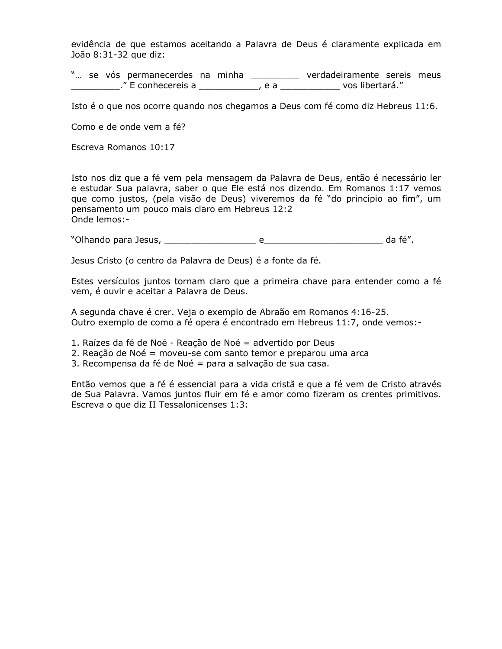evidência de que estamos aceitando a Palavra de Deus é claramente explicada em João 8:31-32 que diz:

"... se vós permanecerdes na minha \_\_\_\_\_\_\_\_\_\_ verdadeiramente sereis meus \_\_\_\_\_\_\_\_." E conhecereis a \_\_\_\_\_\_\_\_\_\_\_\_\_, e a \_\_\_\_\_\_\_\_\_\_\_\_\_\_\_ vos libertará."

Isto é o que nos ocorre quando nos chegamos a Deus com fé como diz Hebreus 11:6.

Como e de onde vem a fé?

Escreva Romanos 10:17

Isto nos diz que a fé vem pela mensagem da Palavra de Deus, então é necessário ler e estudar Sua palavra, saber o que Ele está nos dizendo. Em Romanos 1:17 vemos que como justos, (pela visão de Deus) viveremos da fé "do princípio ao fim", um pensamento um pouco mais claro em Hebreus 12:2 Onde lemos:-

Jesus Cristo (o centro da Palavra de Deus) é a fonte da fé.

Estes versículos juntos tornam claro que a primeira chave para entender como a fé vem, é ouvir e aceitar a Palavra de Deus.

A segunda chave é crer. Veja o exemplo de Abraão em Romanos 4:16-25. Outro exemplo de como a fé opera é encontrado em Hebreus 11:7, onde vemos:-

- 1. Raízes da fé de Noé Reação de Noé = advertido por Deus
- 2. Reação de Noé = moveu-se com santo temor e preparou uma arca
- 3. Recompensa da fé de Noé = para a salvação de sua casa.

Então vemos que a fé é essencial para a vida cristã e que a fé vem de Cristo através de Sua Palavra. Vamos juntos fluir em fé e amor como fizeram os crentes primitivos. Escreva o que diz II Tessalonicenses 1:3: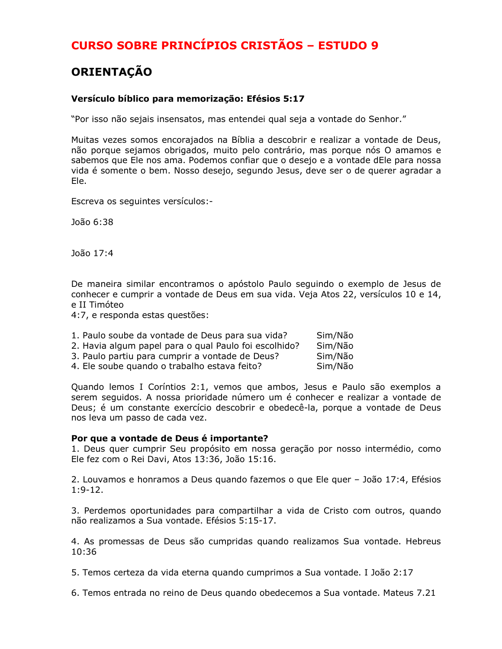# **ORIENTAÇÃO**

#### Versículo bíblico para memorização: Efésios 5:17

"Por isso não sejais insensatos, mas entendei qual seja a vontade do Senhor."

Muitas vezes somos encorajados na Bíblia a descobrir e realizar a vontade de Deus, não porque sejamos obrigados, muito pelo contrário, mas porque nós O amamos e sabemos que Ele nos ama. Podemos confiar que o desejo e a vontade dEle para nossa vida é somente o bem. Nosso desejo, segundo Jesus, deve ser o de querer agradar a Ele.

Escreva os seguintes versículos:-

João 6:38

João 17:4

De maneira similar encontramos o apóstolo Paulo seguindo o exemplo de Jesus de conhecer e cumprir a vontade de Deus em sua vida. Veja Atos 22, versículos 10 e 14, e II Timóteo

4:7, e responda estas questões:

| 1. Paulo soube da vontade de Deus para sua vida?      | Sim/Não |
|-------------------------------------------------------|---------|
| 2. Havia algum papel para o qual Paulo foi escolhido? | Sim/Não |
| 3. Paulo partiu para cumprir a vontade de Deus?       | Sim/Não |
| 4. Ele soube quando o trabalho estava feito?          | Sim/Não |

Quando lemos I Coríntios 2:1, vemos que ambos, Jesus e Paulo são exemplos a serem seguidos. A nossa prioridade número um é conhecer e realizar a vontade de Deus; é um constante exercício descobrir e obedecê-la, porque a vontade de Deus nos leva um passo de cada vez.

#### Por que a vontade de Deus é importante?

1. Deus quer cumprir Seu propósito em nossa geração por nosso intermédio, como Ele fez com o Rei Davi, Atos 13:36, João 15:16.

2. Louvamos e honramos a Deus quando fazemos o que Ele quer - João 17:4, Efésios  $1:9-12.$ 

3. Perdemos oportunidades para compartilhar a vida de Cristo com outros, quando não realizamos a Sua vontade. Efésios 5:15-17.

4. As promessas de Deus são cumpridas quando realizamos Sua vontade. Hebreus  $10:36$ 

5. Temos certeza da vida eterna quando cumprimos a Sua vontade. I João 2:17

6. Temos entrada no reino de Deus quando obedecemos a Sua vontade. Mateus 7.21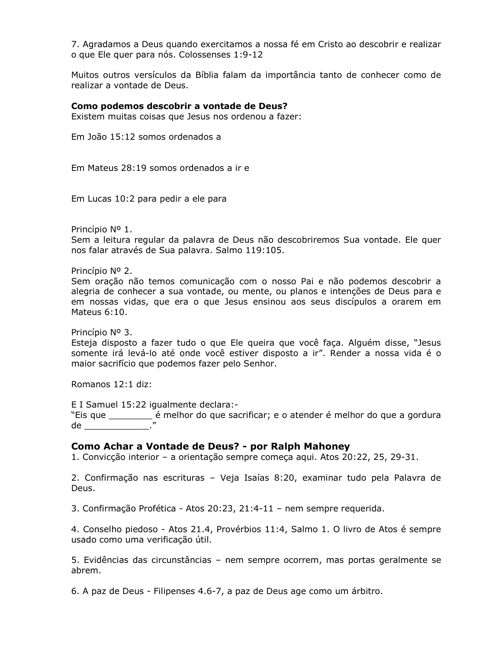7. Agradamos a Deus quando exercitamos a nossa fé em Cristo ao descobrir e realizar o que Ele quer para nós. Colossenses 1:9-12

Muitos outros versículos da Bíblia falam da importância tanto de conhecer como de realizar a vontade de Deus.

#### Como podemos descobrir a vontade de Deus?

Existem muitas coisas que Jesus nos ordenou a fazer:

Em João 15:12 somos ordenados a

Em Mateus 28:19 somos ordenados a ir e

Em Lucas 10:2 para pedir a ele para

Princípio Nº 1.

Sem a leitura regular da palavra de Deus não descobriremos Sua vontade. Ele quer nos falar através de Sua palavra. Salmo 119:105.

Princípio Nº 2.

Sem oração não temos comunicação com o nosso Pai e não podemos descobrir a alegria de conhecer a sua vontade, ou mente, ou planos e intenções de Deus para e em nossas vidas, que era o que Jesus ensinou aos seus discípulos a orarem em Mateus 6:10.

Princípio Nº 3.

Esteja disposto a fazer tudo o que Ele queira que você faça. Alquém disse, "Jesus somente irá levá-lo até onde você estiver disposto a ir". Render a nossa vida é o maior sacrifício que podemos fazer pelo Senhor.

Romanos 12:1 diz:

E I Samuel 15:22 igualmente declara:-"Eis que \_\_\_\_\_\_\_\_\_\_\_\_\_\_ é melhor do que sacrificar; e o atender é melhor do que a gordura de la contrata del contrata del contrata del contrata de la contrata de la contrata de la contrata de la contra

#### Como Achar a Vontade de Deus? - por Ralph Mahoney

1. Convicção interior - a orientação sempre começa aqui. Atos 20:22, 25, 29-31.

2. Confirmação nas escrituras - Veja Isaías 8:20, examinar tudo pela Palavra de Deus.

3. Confirmação Profética - Atos 20:23, 21:4-11 - nem sempre requerida.

4. Conselho piedoso - Atos 21.4, Provérbios 11:4, Salmo 1. O livro de Atos é sempre usado como uma verificação útil.

5. Evidências das circunstâncias – nem sempre ocorrem, mas portas geralmente se abrem.

6. A paz de Deus - Filipenses 4.6-7, a paz de Deus age como um árbitro.